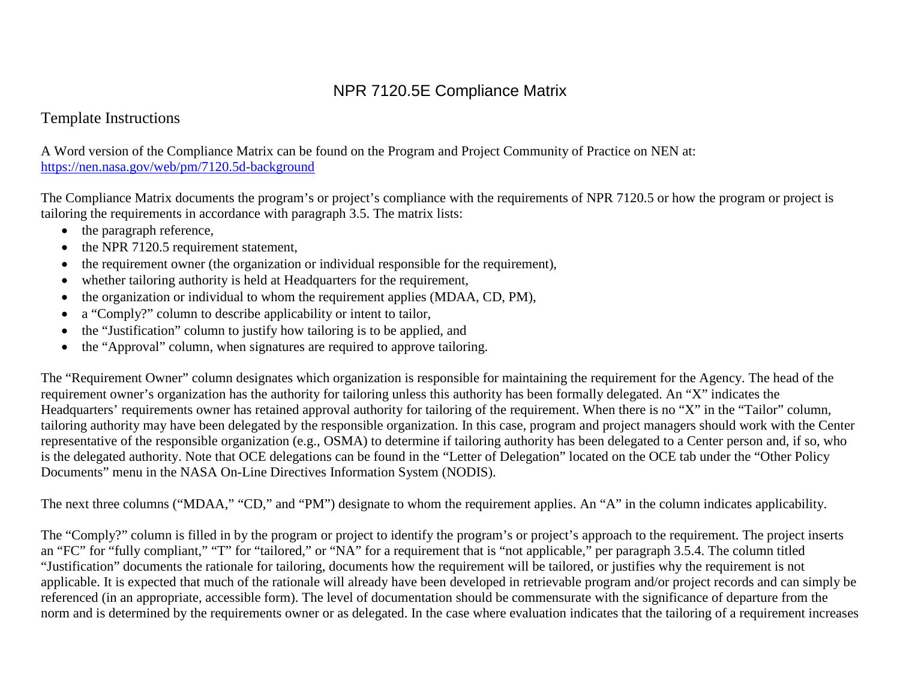## NPR 7120.5E Compliance Matrix

## Template Instructions

A Word version of the Compliance Matrix can be found on the Program and Project Community of Practice on NEN at: [https://nen.nasa.gov/web/pm/7120.5d-background](https://webmail.psgs.com/owa/redir.aspx?C=945755907c33493f8b7d03ac7fe5fd2b&URL=https%3a%2f%2fnen.nasa.gov%2fweb%2fpm%2f7120.5d-background)

The Compliance Matrix documents the program's or project's compliance with the requirements of NPR 7120.5 or how the program or project is tailoring the requirements in accordance with paragraph 3.5. The matrix lists:

- the paragraph reference,
- the NPR 7120.5 requirement statement,
- the requirement owner (the organization or individual responsible for the requirement),
- whether tailoring authority is held at Headquarters for the requirement,
- the organization or individual to whom the requirement applies (MDAA, CD, PM),
- a "Comply?" column to describe applicability or intent to tailor,
- the "Justification" column to justify how tailoring is to be applied, and
- the "Approval" column, when signatures are required to approve tailoring.

The "Requirement Owner" column designates which organization is responsible for maintaining the requirement for the Agency. The head of the requirement owner's organization has the authority for tailoring unless this authority has been formally delegated. An "X" indicates the Headquarters' requirements owner has retained approval authority for tailoring of the requirement. When there is no "X" in the "Tailor" column, tailoring authority may have been delegated by the responsible organization. In this case, program and project managers should work with the Center representative of the responsible organization (e.g., OSMA) to determine if tailoring authority has been delegated to a Center person and, if so, who is the delegated authority. Note that OCE delegations can be found in the "Letter of Delegation" located on the OCE tab under the "Other Policy Documents" menu in the NASA On-Line Directives Information System (NODIS).

The next three columns ("MDAA," "CD," and "PM") designate to whom the requirement applies. An "A" in the column indicates applicability.

The "Comply?" column is filled in by the program or project to identify the program's or project's approach to the requirement. The project inserts an "FC" for "fully compliant," "T" for "tailored," or "NA" for a requirement that is "not applicable," per paragraph 3.5.4. The column titled "Justification" documents the rationale for tailoring, documents how the requirement will be tailored, or justifies why the requirement is not applicable. It is expected that much of the rationale will already have been developed in retrievable program and/or project records and can simply be referenced (in an appropriate, accessible form). The level of documentation should be commensurate with the significance of departure from the norm and is determined by the requirements owner or as delegated. In the case where evaluation indicates that the tailoring of a requirement increases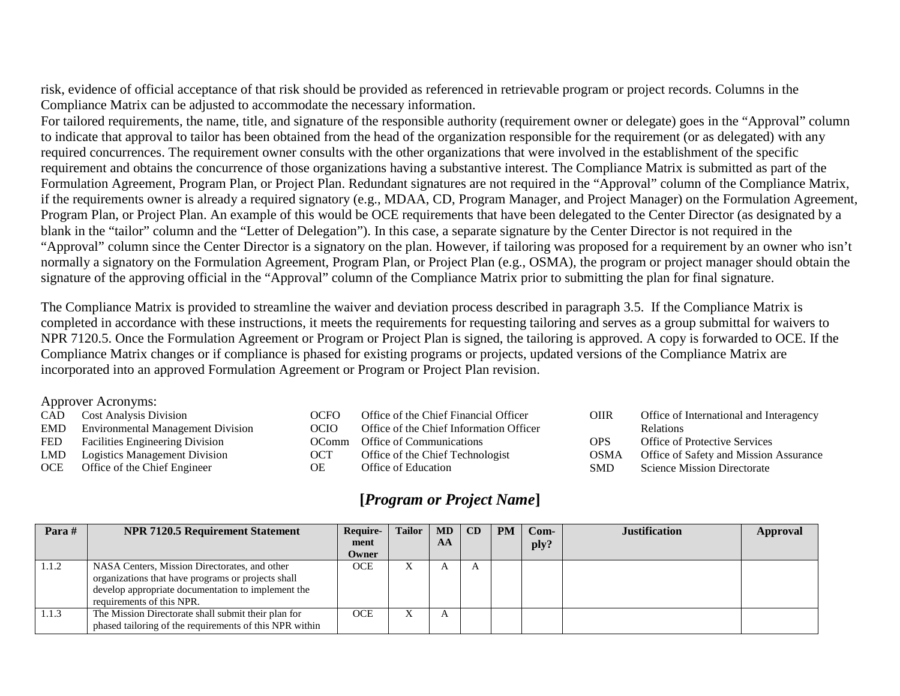risk, evidence of official acceptance of that risk should be provided as referenced in retrievable program or project records. Columns in the Compliance Matrix can be adjusted to accommodate the necessary information.

For tailored requirements, the name, title, and signature of the responsible authority (requirement owner or delegate) goes in the "Approval" column to indicate that approval to tailor has been obtained from the head of the organization responsible for the requirement (or as delegated) with any required concurrences. The requirement owner consults with the other organizations that were involved in the establishment of the specific requirement and obtains the concurrence of those organizations having a substantive interest. The Compliance Matrix is submitted as part of the Formulation Agreement, Program Plan, or Project Plan. Redundant signatures are not required in the "Approval" column of the Compliance Matrix, if the requirements owner is already a required signatory (e.g., MDAA, CD, Program Manager, and Project Manager) on the Formulation Agreement, Program Plan, or Project Plan. An example of this would be OCE requirements that have been delegated to the Center Director (as designated by a blank in the "tailor" column and the "Letter of Delegation"). In this case, a separate signature by the Center Director is not required in the "Approval" column since the Center Director is a signatory on the plan. However, if tailoring was proposed for a requirement by an owner who isn't normally a signatory on the Formulation Agreement, Program Plan, or Project Plan (e.g., OSMA), the program or project manager should obtain the signature of the approving official in the "Approval" column of the Compliance Matrix prior to submitting the plan for final signature.

The Compliance Matrix is provided to streamline the waiver and deviation process described in paragraph 3.5. If the Compliance Matrix is completed in accordance with these instructions, it meets the requirements for requesting tailoring and serves as a group submittal for waivers to NPR 7120.5. Once the Formulation Agreement or Program or Project Plan is signed, the tailoring is approved. A copy is forwarded to OCE. If the Compliance Matrix changes or if compliance is phased for existing programs or projects, updated versions of the Compliance Matrix are incorporated into an approved Formulation Agreement or Program or Project Plan revision.

Approver Acronyms:

| <b>CAD</b> | <b>Cost Analysis Division</b>            | <b>OCFO</b> | Office of the Chief Financial Officer   | OIIR       | Office of International and Interagency |
|------------|------------------------------------------|-------------|-----------------------------------------|------------|-----------------------------------------|
| EMD        | <b>Environmental Management Division</b> | <b>OCIO</b> | Office of the Chief Information Officer |            | <b>Relations</b>                        |
| FED        | <b>Facilities Engineering Division</b>   | OComm       | Office of Communications                | OPS        | <b>Office of Protective Services</b>    |
|            | LMD Logistics Management Division        | <b>OCT</b>  | Office of the Chief Technologist        | OSMA       | Office of Safety and Mission Assurance  |
| OCE        | Office of the Chief Engineer             | OЕ          | Office of Education                     | <b>SMD</b> | <b>Science Mission Directorate</b>      |
|            |                                          |             |                                         |            |                                         |

## **[***Program or Project Name***]**

| Para# | <b>NPR 7120.5 Requirement Statement</b>                                                                                                                                                | Require-<br>ment | Tailor | <b>MD</b><br>AA | CD | <b>PM</b> | $Com-$ | <b>Justification</b> | Approval |
|-------|----------------------------------------------------------------------------------------------------------------------------------------------------------------------------------------|------------------|--------|-----------------|----|-----------|--------|----------------------|----------|
|       |                                                                                                                                                                                        | Owner            |        |                 |    |           | ply?   |                      |          |
| 1.1.2 | NASA Centers, Mission Directorates, and other<br>organizations that have programs or projects shall<br>develop appropriate documentation to implement the<br>requirements of this NPR. | OCE.             |        |                 |    |           |        |                      |          |
| 1.1.3 | The Mission Directorate shall submit their plan for<br>phased tailoring of the requirements of this NPR within                                                                         | OCE.             |        |                 |    |           |        |                      |          |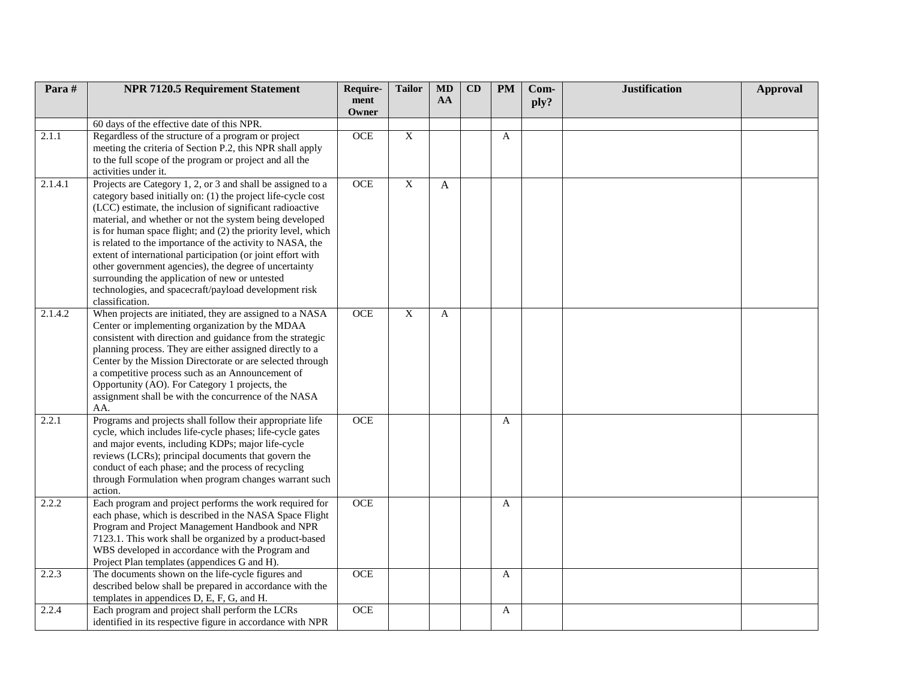| Para#   | <b>NPR 7120.5 Requirement Statement</b>                                                                                                                                                                                                                                                                                                                                                                                                                                                                                                                                                                                               | Require-      | <b>Tailor</b>  | <b>MD</b> | CD | <b>PM</b>    | Com- | <b>Justification</b> | <b>Approval</b> |
|---------|---------------------------------------------------------------------------------------------------------------------------------------------------------------------------------------------------------------------------------------------------------------------------------------------------------------------------------------------------------------------------------------------------------------------------------------------------------------------------------------------------------------------------------------------------------------------------------------------------------------------------------------|---------------|----------------|-----------|----|--------------|------|----------------------|-----------------|
|         |                                                                                                                                                                                                                                                                                                                                                                                                                                                                                                                                                                                                                                       | ment<br>Owner |                | AA        |    |              | ply? |                      |                 |
|         | 60 days of the effective date of this NPR.                                                                                                                                                                                                                                                                                                                                                                                                                                                                                                                                                                                            |               |                |           |    |              |      |                      |                 |
| 2.1.1   | Regardless of the structure of a program or project<br>meeting the criteria of Section P.2, this NPR shall apply<br>to the full scope of the program or project and all the<br>activities under it.                                                                                                                                                                                                                                                                                                                                                                                                                                   | <b>OCE</b>    | $\overline{X}$ |           |    | A            |      |                      |                 |
| 2.1.4.1 | Projects are Category 1, 2, or 3 and shall be assigned to a<br>category based initially on: (1) the project life-cycle cost<br>(LCC) estimate, the inclusion of significant radioactive<br>material, and whether or not the system being developed<br>is for human space flight; and (2) the priority level, which<br>is related to the importance of the activity to NASA, the<br>extent of international participation (or joint effort with<br>other government agencies), the degree of uncertainty<br>surrounding the application of new or untested<br>technologies, and spacecraft/payload development risk<br>classification. | <b>OCE</b>    | $\mathbf X$    | A         |    |              |      |                      |                 |
| 2.1.4.2 | When projects are initiated, they are assigned to a NASA<br>Center or implementing organization by the MDAA<br>consistent with direction and guidance from the strategic<br>planning process. They are either assigned directly to a<br>Center by the Mission Directorate or are selected through<br>a competitive process such as an Announcement of<br>Opportunity (AO). For Category 1 projects, the<br>assignment shall be with the concurrence of the NASA<br>AA.                                                                                                                                                                | <b>OCE</b>    | $\overline{X}$ | A         |    |              |      |                      |                 |
| 2.2.1   | Programs and projects shall follow their appropriate life<br>cycle, which includes life-cycle phases; life-cycle gates<br>and major events, including KDPs; major life-cycle<br>reviews (LCRs); principal documents that govern the<br>conduct of each phase; and the process of recycling<br>through Formulation when program changes warrant such<br>action.                                                                                                                                                                                                                                                                        | $OCE$         |                |           |    | A            |      |                      |                 |
| 2.2.2   | Each program and project performs the work required for<br>each phase, which is described in the NASA Space Flight<br>Program and Project Management Handbook and NPR<br>7123.1. This work shall be organized by a product-based<br>WBS developed in accordance with the Program and<br>Project Plan templates (appendices G and H).                                                                                                                                                                                                                                                                                                  | <b>OCE</b>    |                |           |    | $\mathbf{A}$ |      |                      |                 |
| 2.2.3   | The documents shown on the life-cycle figures and<br>described below shall be prepared in accordance with the<br>templates in appendices D, E, F, G, and H.                                                                                                                                                                                                                                                                                                                                                                                                                                                                           | <b>OCE</b>    |                |           |    | A            |      |                      |                 |
| 2.2.4   | Each program and project shall perform the LCRs<br>identified in its respective figure in accordance with NPR                                                                                                                                                                                                                                                                                                                                                                                                                                                                                                                         | <b>OCE</b>    |                |           |    | A            |      |                      |                 |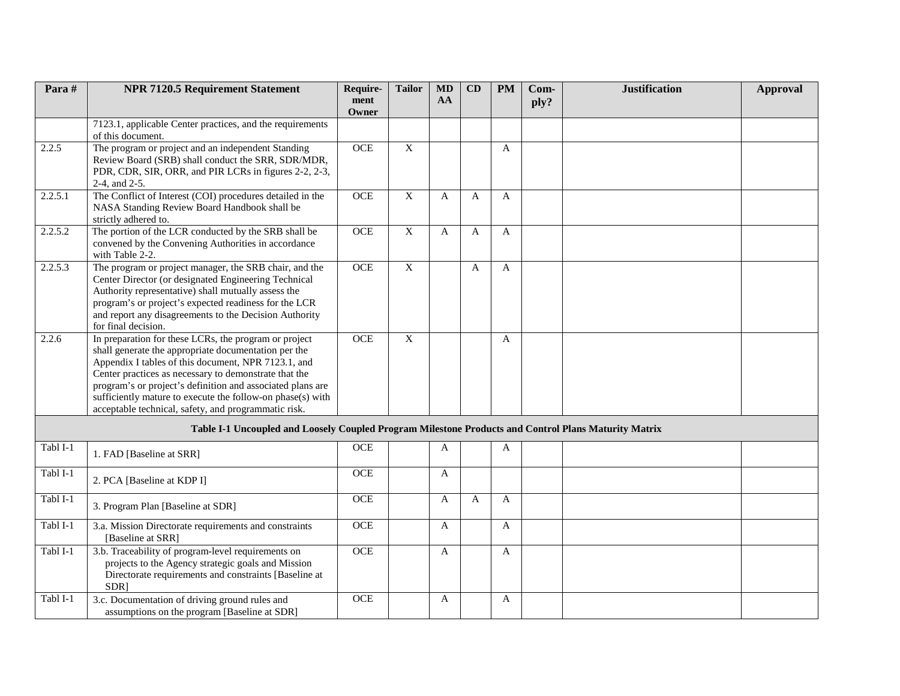| Para#    | <b>NPR 7120.5 Requirement Statement</b>                                                                                                                                                                                                                                                                                                                                                                           | Require-<br>ment | <b>Tailor</b>  | <b>MD</b><br>AA | CD           | <b>PM</b> | Com-<br>ply? | <b>Justification</b> | <b>Approval</b> |
|----------|-------------------------------------------------------------------------------------------------------------------------------------------------------------------------------------------------------------------------------------------------------------------------------------------------------------------------------------------------------------------------------------------------------------------|------------------|----------------|-----------------|--------------|-----------|--------------|----------------------|-----------------|
|          |                                                                                                                                                                                                                                                                                                                                                                                                                   | Owner            |                |                 |              |           |              |                      |                 |
|          | 7123.1, applicable Center practices, and the requirements<br>of this document.                                                                                                                                                                                                                                                                                                                                    |                  |                |                 |              |           |              |                      |                 |
| 2.2.5    | The program or project and an independent Standing<br>Review Board (SRB) shall conduct the SRR, SDR/MDR,<br>PDR, CDR, SIR, ORR, and PIR LCRs in figures 2-2, 2-3,<br>2-4, and 2-5.                                                                                                                                                                                                                                | <b>OCE</b>       | X              |                 |              | A         |              |                      |                 |
| 2.2.5.1  | The Conflict of Interest (COI) procedures detailed in the<br>NASA Standing Review Board Handbook shall be<br>strictly adhered to.                                                                                                                                                                                                                                                                                 | OCE              | X              | A               | A            | A         |              |                      |                 |
| 2.2.5.2  | The portion of the LCR conducted by the SRB shall be<br>convened by the Convening Authorities in accordance<br>with Table 2-2.                                                                                                                                                                                                                                                                                    | <b>OCE</b>       | $\overline{X}$ | $\mathbf{A}$    | $\mathbf{A}$ | A         |              |                      |                 |
| 2.2.5.3  | The program or project manager, the SRB chair, and the<br>Center Director (or designated Engineering Technical<br>Authority representative) shall mutually assess the<br>program's or project's expected readiness for the LCR<br>and report any disagreements to the Decision Authority<br>for final decision.                                                                                                   | OCE              | X              |                 | $\mathbf{A}$ | A         |              |                      |                 |
| 2.2.6    | In preparation for these LCRs, the program or project<br>shall generate the appropriate documentation per the<br>Appendix I tables of this document, NPR 7123.1, and<br>Center practices as necessary to demonstrate that the<br>program's or project's definition and associated plans are<br>sufficiently mature to execute the follow-on phase(s) with<br>acceptable technical, safety, and programmatic risk. | <b>OCE</b>       | $\mathbf X$    |                 |              | A         |              |                      |                 |
|          | Table I-1 Uncoupled and Loosely Coupled Program Milestone Products and Control Plans Maturity Matrix                                                                                                                                                                                                                                                                                                              |                  |                |                 |              |           |              |                      |                 |
| Tabl I-1 | 1. FAD [Baseline at SRR]                                                                                                                                                                                                                                                                                                                                                                                          | <b>OCE</b>       |                | A               |              | A         |              |                      |                 |
| Tabl I-1 | 2. PCA [Baseline at KDP I]                                                                                                                                                                                                                                                                                                                                                                                        | <b>OCE</b>       |                | $\mathbf{A}$    |              |           |              |                      |                 |
| Tabl I-1 | 3. Program Plan [Baseline at SDR]                                                                                                                                                                                                                                                                                                                                                                                 | OCE              |                | A               | A            | A         |              |                      |                 |
| Tabl I-1 | 3.a. Mission Directorate requirements and constraints<br>[Baseline at SRR]                                                                                                                                                                                                                                                                                                                                        | <b>OCE</b>       |                | $\mathbf{A}$    |              | A         |              |                      |                 |
| Tabl I-1 | 3.b. Traceability of program-level requirements on<br>projects to the Agency strategic goals and Mission<br>Directorate requirements and constraints [Baseline at<br>SDR]                                                                                                                                                                                                                                         | $OCE$            |                | A               |              | A         |              |                      |                 |
| Tabl I-1 | 3.c. Documentation of driving ground rules and<br>assumptions on the program [Baseline at SDR]                                                                                                                                                                                                                                                                                                                    | <b>OCE</b>       |                | $\mathbf{A}$    |              | A         |              |                      |                 |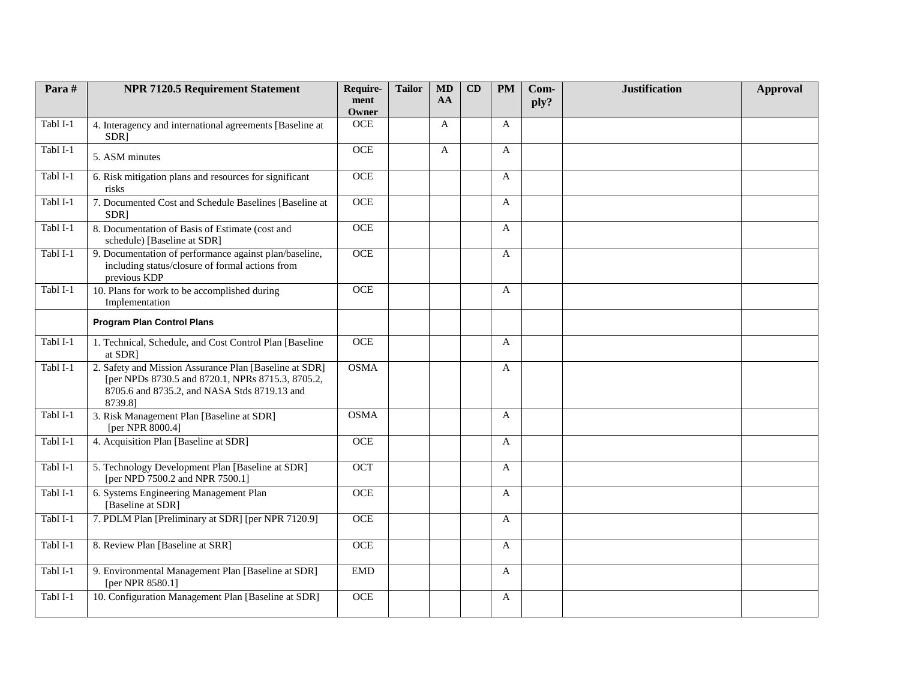| Para#    | <b>NPR 7120.5 Requirement Statement</b>                                                                                                                                | Require-<br>ment | <b>Tailor</b> | <b>MD</b><br>AA | CD | <b>PM</b>    | Com-<br>ply? | <b>Justification</b> | <b>Approval</b> |
|----------|------------------------------------------------------------------------------------------------------------------------------------------------------------------------|------------------|---------------|-----------------|----|--------------|--------------|----------------------|-----------------|
|          |                                                                                                                                                                        | Owner            |               |                 |    |              |              |                      |                 |
| Tabl I-1 | 4. Interagency and international agreements [Baseline at<br>SDR <sub>1</sub>                                                                                           | <b>OCE</b>       |               | A               |    | A            |              |                      |                 |
| Tabl I-1 | 5. ASM minutes                                                                                                                                                         | <b>OCE</b>       |               | $\mathbf{A}$    |    | A            |              |                      |                 |
| Tabl I-1 | 6. Risk mitigation plans and resources for significant<br>risks                                                                                                        | <b>OCE</b>       |               |                 |    | A            |              |                      |                 |
| Tabl I-1 | 7. Documented Cost and Schedule Baselines [Baseline at<br>SDR]                                                                                                         | <b>OCE</b>       |               |                 |    | A            |              |                      |                 |
| Tabl I-1 | 8. Documentation of Basis of Estimate (cost and<br>schedule) [Baseline at SDR]                                                                                         | <b>OCE</b>       |               |                 |    | A            |              |                      |                 |
| Tabl I-1 | 9. Documentation of performance against plan/baseline,<br>including status/closure of formal actions from<br>previous KDP                                              | $OCE$            |               |                 |    | A            |              |                      |                 |
| Tabl I-1 | 10. Plans for work to be accomplished during<br>Implementation                                                                                                         | <b>OCE</b>       |               |                 |    | $\mathbf{A}$ |              |                      |                 |
|          | <b>Program Plan Control Plans</b>                                                                                                                                      |                  |               |                 |    |              |              |                      |                 |
| Tabl I-1 | 1. Technical, Schedule, and Cost Control Plan [Baseline<br>at SDR]                                                                                                     | <b>OCE</b>       |               |                 |    | A            |              |                      |                 |
| Tabl I-1 | 2. Safety and Mission Assurance Plan [Baseline at SDR]<br>[per NPDs 8730.5 and 8720.1, NPRs 8715.3, 8705.2,<br>8705.6 and 8735.2, and NASA Stds 8719.13 and<br>8739.81 | <b>OSMA</b>      |               |                 |    | A            |              |                      |                 |
| Tabl I-1 | 3. Risk Management Plan [Baseline at SDR]<br>[per NPR 8000.4]                                                                                                          | <b>OSMA</b>      |               |                 |    | $\mathbf{A}$ |              |                      |                 |
| Tabl I-1 | 4. Acquisition Plan [Baseline at SDR]                                                                                                                                  | $OCE$            |               |                 |    | A            |              |                      |                 |
| Tabl I-1 | 5. Technology Development Plan [Baseline at SDR]<br>[per NPD 7500.2 and NPR 7500.1]                                                                                    | <b>OCT</b>       |               |                 |    | A            |              |                      |                 |
| Tabl I-1 | 6. Systems Engineering Management Plan<br>[Baseline at SDR]                                                                                                            | <b>OCE</b>       |               |                 |    | A            |              |                      |                 |
| Tabl I-1 | 7. PDLM Plan [Preliminary at SDR] [per NPR 7120.9]                                                                                                                     | <b>OCE</b>       |               |                 |    | A            |              |                      |                 |
| Tabl I-1 | 8. Review Plan [Baseline at SRR]                                                                                                                                       | OCE              |               |                 |    | A            |              |                      |                 |
| Tabl I-1 | 9. Environmental Management Plan [Baseline at SDR]<br>[per NPR 8580.1]                                                                                                 | <b>EMD</b>       |               |                 |    | A            |              |                      |                 |
| Tabl I-1 | 10. Configuration Management Plan [Baseline at SDR]                                                                                                                    | <b>OCE</b>       |               |                 |    | A            |              |                      |                 |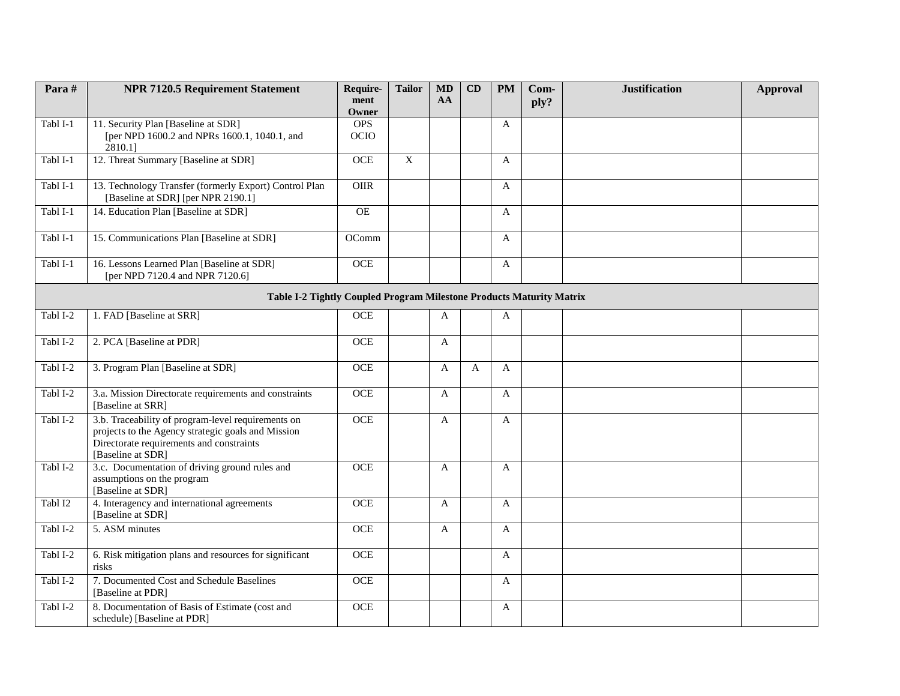| Para#    | <b>NPR 7120.5 Requirement Statement</b>                                                                                                                                   | Require-<br>ment<br>Owner | <b>Tailor</b>  | <b>MD</b><br>AA | CD           | <b>PM</b>    | Com-<br>ply? | <b>Justification</b> | <b>Approval</b> |
|----------|---------------------------------------------------------------------------------------------------------------------------------------------------------------------------|---------------------------|----------------|-----------------|--------------|--------------|--------------|----------------------|-----------------|
| Tabl I-1 | 11. Security Plan [Baseline at SDR]<br>[per NPD 1600.2 and NPRs 1600.1, 1040.1, and<br>2810.1]                                                                            | <b>OPS</b><br><b>OCIO</b> |                |                 |              | A            |              |                      |                 |
| Tabl I-1 | 12. Threat Summary [Baseline at SDR]                                                                                                                                      | <b>OCE</b>                | $\overline{X}$ |                 |              | A            |              |                      |                 |
| Tabl I-1 | 13. Technology Transfer (formerly Export) Control Plan<br>[Baseline at SDR] [per NPR 2190.1]                                                                              | <b>OIIR</b>               |                |                 |              | A            |              |                      |                 |
| Tabl I-1 | 14. Education Plan [Baseline at SDR]                                                                                                                                      | <b>OE</b>                 |                |                 |              | A            |              |                      |                 |
| Tabl I-1 | 15. Communications Plan [Baseline at SDR]                                                                                                                                 | OComm                     |                |                 |              | A            |              |                      |                 |
| Tabl I-1 | 16. Lessons Learned Plan [Baseline at SDR]<br>[per NPD 7120.4 and NPR 7120.6]                                                                                             | <b>OCE</b>                |                |                 |              | A            |              |                      |                 |
|          | Table I-2 Tightly Coupled Program Milestone Products Maturity Matrix                                                                                                      |                           |                |                 |              |              |              |                      |                 |
| Tabl I-2 | 1. FAD [Baseline at SRR]                                                                                                                                                  | <b>OCE</b>                |                | $\mathbf{A}$    |              | A            |              |                      |                 |
| Tabl I-2 | 2. PCA [Baseline at PDR]                                                                                                                                                  | <b>OCE</b>                |                | A               |              |              |              |                      |                 |
| Tabl I-2 | 3. Program Plan [Baseline at SDR]                                                                                                                                         | OCE                       |                | A               | $\mathbf{A}$ | A            |              |                      |                 |
| Tabl I-2 | 3.a. Mission Directorate requirements and constraints<br>[Baseline at SRR]                                                                                                | <b>OCE</b>                |                | A               |              | A            |              |                      |                 |
| Tabl I-2 | 3.b. Traceability of program-level requirements on<br>projects to the Agency strategic goals and Mission<br>Directorate requirements and constraints<br>[Baseline at SDR] | OCE                       |                | A               |              | A            |              |                      |                 |
| Tabl I-2 | 3.c. Documentation of driving ground rules and<br>assumptions on the program<br>[Baseline at SDR]                                                                         | <b>OCE</b>                |                | $\mathbf{A}$    |              | A            |              |                      |                 |
| Tabl I2  | 4. Interagency and international agreements<br>[Baseline at SDR]                                                                                                          | <b>OCE</b>                |                | A               |              | A            |              |                      |                 |
| Tabl I-2 | 5. ASM minutes                                                                                                                                                            | <b>OCE</b>                |                | A               |              | A            |              |                      |                 |
| Tabl I-2 | 6. Risk mitigation plans and resources for significant<br>risks                                                                                                           | <b>OCE</b>                |                |                 |              | $\mathbf{A}$ |              |                      |                 |
| Tabl I-2 | 7. Documented Cost and Schedule Baselines<br>[Baseline at PDR]                                                                                                            | <b>OCE</b>                |                |                 |              | A            |              |                      |                 |
| Tabl I-2 | 8. Documentation of Basis of Estimate (cost and<br>schedule) [Baseline at PDR]                                                                                            | <b>OCE</b>                |                |                 |              | A            |              |                      |                 |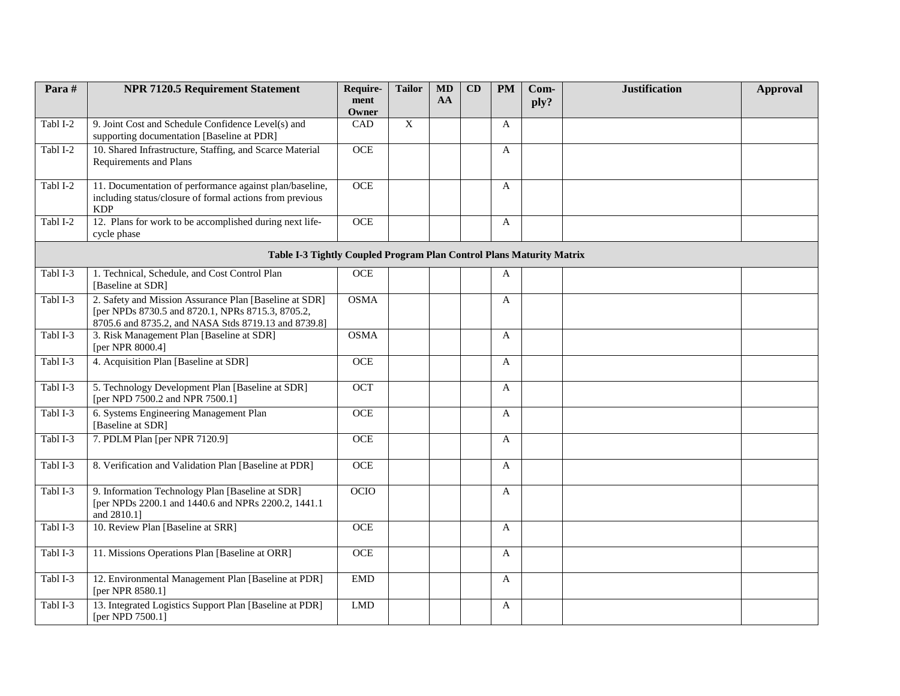| Para#    | <b>NPR 7120.5 Requirement Statement</b>                                                                   | Require-      | <b>Tailor</b> | <b>MD</b> | CD | <b>PM</b>    | Com- | <b>Justification</b> | <b>Approval</b> |
|----------|-----------------------------------------------------------------------------------------------------------|---------------|---------------|-----------|----|--------------|------|----------------------|-----------------|
|          |                                                                                                           | ment<br>Owner |               | AA        |    |              | ply? |                      |                 |
| Tabl I-2 | 9. Joint Cost and Schedule Confidence Level(s) and                                                        | CAD           | $\mathbf X$   |           |    | A            |      |                      |                 |
|          | supporting documentation [Baseline at PDR]                                                                |               |               |           |    |              |      |                      |                 |
| Tabl I-2 | 10. Shared Infrastructure, Staffing, and Scarce Material<br>Requirements and Plans                        | <b>OCE</b>    |               |           |    | A            |      |                      |                 |
|          |                                                                                                           |               |               |           |    |              |      |                      |                 |
| Tabl I-2 | 11. Documentation of performance against plan/baseline,                                                   | <b>OCE</b>    |               |           |    | A            |      |                      |                 |
|          | including status/closure of formal actions from previous<br><b>KDP</b>                                    |               |               |           |    |              |      |                      |                 |
| Tabl I-2 | 12. Plans for work to be accomplished during next life-                                                   | <b>OCE</b>    |               |           |    | A            |      |                      |                 |
|          | cycle phase                                                                                               |               |               |           |    |              |      |                      |                 |
|          | Table I-3 Tightly Coupled Program Plan Control Plans Maturity Matrix                                      |               |               |           |    |              |      |                      |                 |
| Tabl I-3 | 1. Technical, Schedule, and Cost Control Plan<br>[Baseline at SDR]                                        | OCE           |               |           |    | A            |      |                      |                 |
| Tabl I-3 | 2. Safety and Mission Assurance Plan [Baseline at SDR]                                                    | <b>OSMA</b>   |               |           |    | A            |      |                      |                 |
|          | [per NPDs 8730.5 and 8720.1, NPRs 8715.3, 8705.2,<br>8705.6 and 8735.2, and NASA Stds 8719.13 and 8739.8] |               |               |           |    |              |      |                      |                 |
| Tabl I-3 | 3. Risk Management Plan [Baseline at SDR]                                                                 | <b>OSMA</b>   |               |           |    | $\mathbf{A}$ |      |                      |                 |
|          | [per NPR 8000.4]                                                                                          |               |               |           |    |              |      |                      |                 |
| Tabl I-3 | 4. Acquisition Plan [Baseline at SDR]                                                                     | <b>OCE</b>    |               |           |    | A            |      |                      |                 |
| Tabl I-3 | 5. Technology Development Plan [Baseline at SDR]<br>[per NPD 7500.2 and NPR 7500.1]                       | OCT           |               |           |    | A            |      |                      |                 |
| Tabl I-3 | 6. Systems Engineering Management Plan<br>[Baseline at SDR]                                               | <b>OCE</b>    |               |           |    | A            |      |                      |                 |
| Tabl I-3 | 7. PDLM Plan [per NPR 7120.9]                                                                             | <b>OCE</b>    |               |           |    | A            |      |                      |                 |
| Tabl I-3 | 8. Verification and Validation Plan [Baseline at PDR]                                                     | OCE           |               |           |    | A            |      |                      |                 |
| Tabl I-3 | 9. Information Technology Plan [Baseline at SDR]                                                          | <b>OCIO</b>   |               |           |    | A            |      |                      |                 |
|          | [per NPDs 2200.1 and 1440.6 and NPRs 2200.2, 1441.1                                                       |               |               |           |    |              |      |                      |                 |
| Tabl I-3 | and 2810.1]<br>10. Review Plan [Baseline at SRR]                                                          | <b>OCE</b>    |               |           |    | A            |      |                      |                 |
|          |                                                                                                           |               |               |           |    |              |      |                      |                 |
| Tabl I-3 | 11. Missions Operations Plan [Baseline at ORR]                                                            | <b>OCE</b>    |               |           |    | A            |      |                      |                 |
| Tabl I-3 | 12. Environmental Management Plan [Baseline at PDR]<br>[per NPR 8580.1]                                   | <b>EMD</b>    |               |           |    | A            |      |                      |                 |
| Tabl I-3 | 13. Integrated Logistics Support Plan [Baseline at PDR]                                                   | LMD           |               |           |    | A            |      |                      |                 |
|          | [per NPD 7500.1]                                                                                          |               |               |           |    |              |      |                      |                 |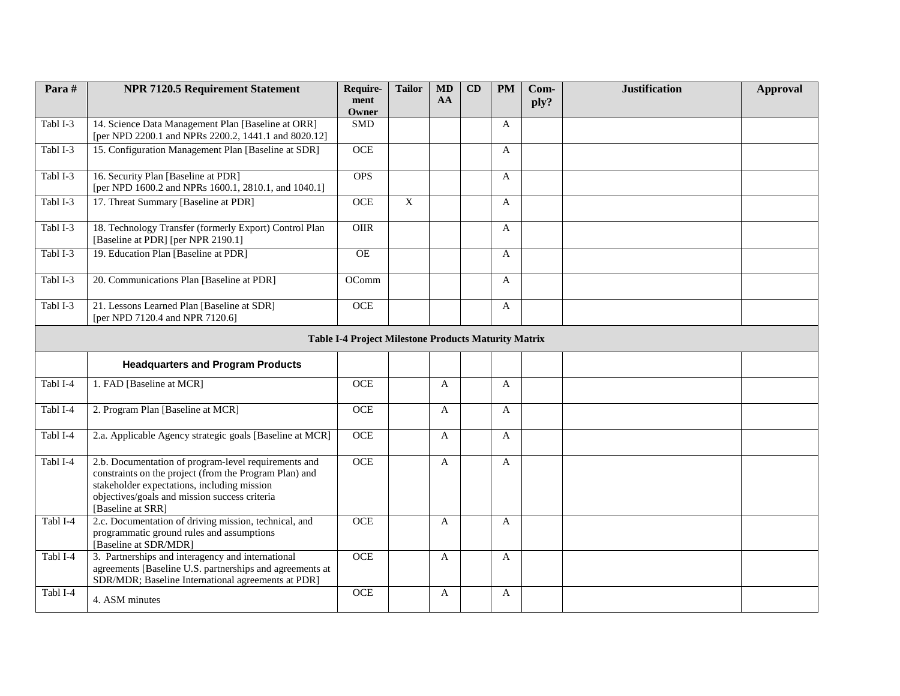| Para#    | <b>NPR 7120.5 Requirement Statement</b>                                                                                                                                                                                             | Require-<br>ment                                            | <b>Tailor</b> | <b>MD</b><br>AA | CD | <b>PM</b>    | Com-<br>ply? | <b>Justification</b> | <b>Approval</b> |
|----------|-------------------------------------------------------------------------------------------------------------------------------------------------------------------------------------------------------------------------------------|-------------------------------------------------------------|---------------|-----------------|----|--------------|--------------|----------------------|-----------------|
|          |                                                                                                                                                                                                                                     | Owner                                                       |               |                 |    |              |              |                      |                 |
| Tabl I-3 | 14. Science Data Management Plan [Baseline at ORR]<br>[per NPD 2200.1 and NPRs 2200.2, 1441.1 and 8020.12]                                                                                                                          | SMD                                                         |               |                 |    | A            |              |                      |                 |
| Tabl I-3 | 15. Configuration Management Plan [Baseline at SDR]                                                                                                                                                                                 | <b>OCE</b>                                                  |               |                 |    | A            |              |                      |                 |
| Tabl I-3 | 16. Security Plan [Baseline at PDR]<br>[per NPD 1600.2 and NPRs 1600.1, 2810.1, and 1040.1]                                                                                                                                         | <b>OPS</b>                                                  |               |                 |    | A            |              |                      |                 |
| Tabl I-3 | 17. Threat Summary [Baseline at PDR]                                                                                                                                                                                                | <b>OCE</b>                                                  | $\mathbf X$   |                 |    | A            |              |                      |                 |
| Tabl I-3 | 18. Technology Transfer (formerly Export) Control Plan<br>[Baseline at PDR] [per NPR 2190.1]                                                                                                                                        | <b>OIIR</b>                                                 |               |                 |    | A            |              |                      |                 |
| Tabl I-3 | 19. Education Plan [Baseline at PDR]                                                                                                                                                                                                | <b>OE</b>                                                   |               |                 |    | A            |              |                      |                 |
| Tabl I-3 | 20. Communications Plan [Baseline at PDR]                                                                                                                                                                                           | OComm                                                       |               |                 |    | A            |              |                      |                 |
| Tabl I-3 | 21. Lessons Learned Plan [Baseline at SDR]<br>[per NPD 7120.4 and NPR 7120.6]                                                                                                                                                       | OCE                                                         |               |                 |    | A            |              |                      |                 |
|          |                                                                                                                                                                                                                                     | <b>Table I-4 Project Milestone Products Maturity Matrix</b> |               |                 |    |              |              |                      |                 |
|          | <b>Headquarters and Program Products</b>                                                                                                                                                                                            |                                                             |               |                 |    |              |              |                      |                 |
| Tabl I-4 | 1. FAD [Baseline at MCR]                                                                                                                                                                                                            | <b>OCE</b>                                                  |               | A               |    | $\mathbf{A}$ |              |                      |                 |
| Tabl I-4 | 2. Program Plan [Baseline at MCR]                                                                                                                                                                                                   | $OCE$                                                       |               | A               |    | A            |              |                      |                 |
| Tabl I-4 | 2.a. Applicable Agency strategic goals [Baseline at MCR]                                                                                                                                                                            | <b>OCE</b>                                                  |               | A               |    | A            |              |                      |                 |
| Tabl I-4 | 2.b. Documentation of program-level requirements and<br>constraints on the project (from the Program Plan) and<br>stakeholder expectations, including mission<br>objectives/goals and mission success criteria<br>[Baseline at SRR] | <b>OCE</b>                                                  |               | A               |    | A            |              |                      |                 |
| Tabl I-4 | 2.c. Documentation of driving mission, technical, and<br>programmatic ground rules and assumptions<br>[Baseline at SDR/MDR]                                                                                                         | OCE                                                         |               | A               |    | A            |              |                      |                 |
| Tabl I-4 | 3. Partnerships and interagency and international<br>agreements [Baseline U.S. partnerships and agreements at<br>SDR/MDR; Baseline International agreements at PDR]                                                                 | $OCE$                                                       |               | A               |    | A            |              |                      |                 |
| Tabl I-4 | 4. ASM minutes                                                                                                                                                                                                                      | OCE                                                         |               | A               |    | A            |              |                      |                 |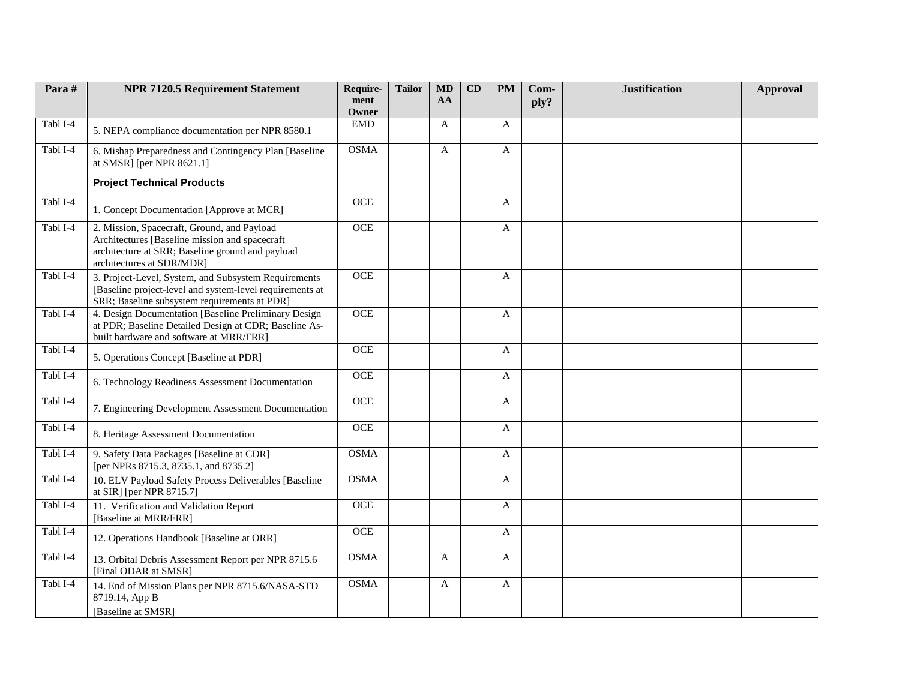| Para#    | <b>NPR 7120.5 Requirement Statement</b>                                                                                                                                        | Require-      | <b>Tailor</b> | <b>MD</b>    | CD | <b>PM</b>    | Com- | <b>Justification</b> | <b>Approval</b> |
|----------|--------------------------------------------------------------------------------------------------------------------------------------------------------------------------------|---------------|---------------|--------------|----|--------------|------|----------------------|-----------------|
|          |                                                                                                                                                                                | ment<br>Owner |               | AA           |    |              | ply? |                      |                 |
| Tabl I-4 | 5. NEPA compliance documentation per NPR 8580.1                                                                                                                                | <b>EMD</b>    |               | A            |    | A            |      |                      |                 |
| Tabl I-4 | 6. Mishap Preparedness and Contingency Plan [Baseline<br>at SMSR] [per NPR 8621.1]                                                                                             | <b>OSMA</b>   |               | A            |    | A            |      |                      |                 |
|          | <b>Project Technical Products</b>                                                                                                                                              |               |               |              |    |              |      |                      |                 |
| Tabl I-4 | 1. Concept Documentation [Approve at MCR]                                                                                                                                      | <b>OCE</b>    |               |              |    | A            |      |                      |                 |
| Tabl I-4 | 2. Mission, Spacecraft, Ground, and Payload<br>Architectures [Baseline mission and spacecraft<br>architecture at SRR; Baseline ground and payload<br>architectures at SDR/MDR] | <b>OCE</b>    |               |              |    | A            |      |                      |                 |
| Tabl I-4 | 3. Project-Level, System, and Subsystem Requirements<br>[Baseline project-level and system-level requirements at<br>SRR; Baseline subsystem requirements at PDR]               | <b>OCE</b>    |               |              |    | $\mathbf{A}$ |      |                      |                 |
| Tabl I-4 | 4. Design Documentation [Baseline Preliminary Design]<br>at PDR; Baseline Detailed Design at CDR; Baseline As-<br>built hardware and software at MRR/FRR]                      | <b>OCE</b>    |               |              |    | $\mathbf{A}$ |      |                      |                 |
| Tabl I-4 | 5. Operations Concept [Baseline at PDR]                                                                                                                                        | <b>OCE</b>    |               |              |    | A            |      |                      |                 |
| Tabl I-4 | 6. Technology Readiness Assessment Documentation                                                                                                                               | <b>OCE</b>    |               |              |    | $\mathbf{A}$ |      |                      |                 |
| Tabl I-4 | 7. Engineering Development Assessment Documentation                                                                                                                            | <b>OCE</b>    |               |              |    | A            |      |                      |                 |
| Tabl I-4 | 8. Heritage Assessment Documentation                                                                                                                                           | $OCE$         |               |              |    | A            |      |                      |                 |
| Tabl I-4 | 9. Safety Data Packages [Baseline at CDR]<br>[per NPRs 8715.3, 8735.1, and 8735.2]                                                                                             | <b>OSMA</b>   |               |              |    | A            |      |                      |                 |
| Tabl I-4 | 10. ELV Payload Safety Process Deliverables [Baseline<br>at SIR] [per NPR 8715.7]                                                                                              | <b>OSMA</b>   |               |              |    | A            |      |                      |                 |
| Tabl I-4 | 11. Verification and Validation Report<br>[Baseline at MRR/FRR]                                                                                                                | <b>OCE</b>    |               |              |    | A            |      |                      |                 |
| Tabl I-4 | 12. Operations Handbook [Baseline at ORR]                                                                                                                                      | $OCE$         |               |              |    | A            |      |                      |                 |
| Tabl I-4 | 13. Orbital Debris Assessment Report per NPR 8715.6<br>[Final ODAR at SMSR]                                                                                                    | <b>OSMA</b>   |               | $\mathbf{A}$ |    | A            |      |                      |                 |
| Tabl I-4 | 14. End of Mission Plans per NPR 8715.6/NASA-STD<br>8719.14, App B<br>[Baseline at SMSR]                                                                                       | <b>OSMA</b>   |               | $\mathbf{A}$ |    | $\mathbf{A}$ |      |                      |                 |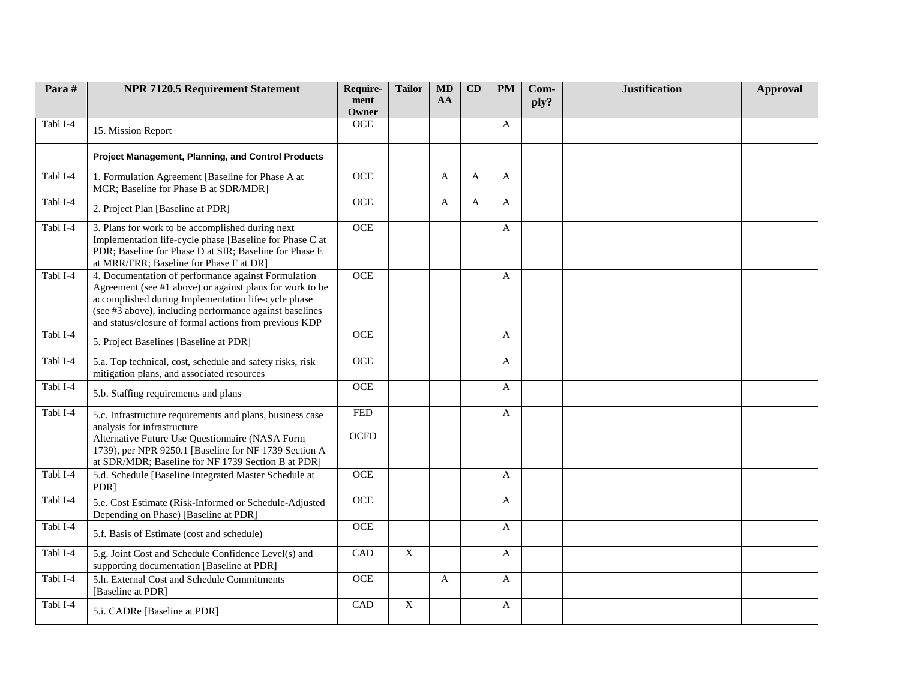| Para#    | <b>NPR 7120.5 Requirement Statement</b>                                                                                                                                                                                                                                                     | Require-<br>ment          | <b>Tailor</b>    | <b>MD</b><br>AA | CD           | <b>PM</b>    | Com-<br>ply? | <b>Justification</b> | <b>Approval</b> |
|----------|---------------------------------------------------------------------------------------------------------------------------------------------------------------------------------------------------------------------------------------------------------------------------------------------|---------------------------|------------------|-----------------|--------------|--------------|--------------|----------------------|-----------------|
|          |                                                                                                                                                                                                                                                                                             | Owner                     |                  |                 |              |              |              |                      |                 |
| Tabl I-4 | 15. Mission Report                                                                                                                                                                                                                                                                          | <b>OCE</b>                |                  |                 |              | A            |              |                      |                 |
|          | Project Management, Planning, and Control Products                                                                                                                                                                                                                                          |                           |                  |                 |              |              |              |                      |                 |
| Tabl I-4 | 1. Formulation Agreement [Baseline for Phase A at<br>MCR; Baseline for Phase B at SDR/MDR]                                                                                                                                                                                                  | <b>OCE</b>                |                  | A               | A            | A            |              |                      |                 |
| Tabl I-4 | 2. Project Plan [Baseline at PDR]                                                                                                                                                                                                                                                           | <b>OCE</b>                |                  | $\mathbf{A}$    | $\mathbf{A}$ | $\mathsf{A}$ |              |                      |                 |
| Tabl I-4 | 3. Plans for work to be accomplished during next<br>Implementation life-cycle phase [Baseline for Phase C at<br>PDR; Baseline for Phase D at SIR; Baseline for Phase E<br>at MRR/FRR; Baseline for Phase F at DR]                                                                           | <b>OCE</b>                |                  |                 |              | A            |              |                      |                 |
| Tabl I-4 | 4. Documentation of performance against Formulation<br>Agreement (see #1 above) or against plans for work to be<br>accomplished during Implementation life-cycle phase<br>(see #3 above), including performance against baselines<br>and status/closure of formal actions from previous KDP | <b>OCE</b>                |                  |                 |              | $\mathsf{A}$ |              |                      |                 |
| Tabl I-4 | 5. Project Baselines [Baseline at PDR]                                                                                                                                                                                                                                                      | <b>OCE</b>                |                  |                 |              | A            |              |                      |                 |
| Tabl I-4 | 5.a. Top technical, cost, schedule and safety risks, risk<br>mitigation plans, and associated resources                                                                                                                                                                                     | <b>OCE</b>                |                  |                 |              | A            |              |                      |                 |
| Tabl I-4 | 5.b. Staffing requirements and plans                                                                                                                                                                                                                                                        | OCE                       |                  |                 |              | A            |              |                      |                 |
| Tabl I-4 | 5.c. Infrastructure requirements and plans, business case<br>analysis for infrastructure<br>Alternative Future Use Questionnaire (NASA Form<br>1739), per NPR 9250.1 [Baseline for NF 1739 Section A<br>at SDR/MDR; Baseline for NF 1739 Section B at PDR]                                  | <b>FED</b><br><b>OCFO</b> |                  |                 |              | $\mathbf{A}$ |              |                      |                 |
| Tabl I-4 | 5.d. Schedule [Baseline Integrated Master Schedule at<br>PDR <sub>1</sub>                                                                                                                                                                                                                   | <b>OCE</b>                |                  |                 |              | A            |              |                      |                 |
| Tabl I-4 | 5.e. Cost Estimate (Risk-Informed or Schedule-Adjusted<br>Depending on Phase) [Baseline at PDR]                                                                                                                                                                                             | <b>OCE</b>                |                  |                 |              | A            |              |                      |                 |
| Tabl I-4 | 5.f. Basis of Estimate (cost and schedule)                                                                                                                                                                                                                                                  | <b>OCE</b>                |                  |                 |              | A            |              |                      |                 |
| Tabl I-4 | 5.g. Joint Cost and Schedule Confidence Level(s) and<br>supporting documentation [Baseline at PDR]                                                                                                                                                                                          | CAD                       | $\overline{X}$   |                 |              | A            |              |                      |                 |
| Tabl I-4 | 5.h. External Cost and Schedule Commitments<br>[Baseline at PDR]                                                                                                                                                                                                                            | <b>OCE</b>                |                  | $\mathbf{A}$    |              | A            |              |                      |                 |
| Tabl I-4 | 5.i. CADRe [Baseline at PDR]                                                                                                                                                                                                                                                                | CAD                       | $\boldsymbol{X}$ |                 |              | A            |              |                      |                 |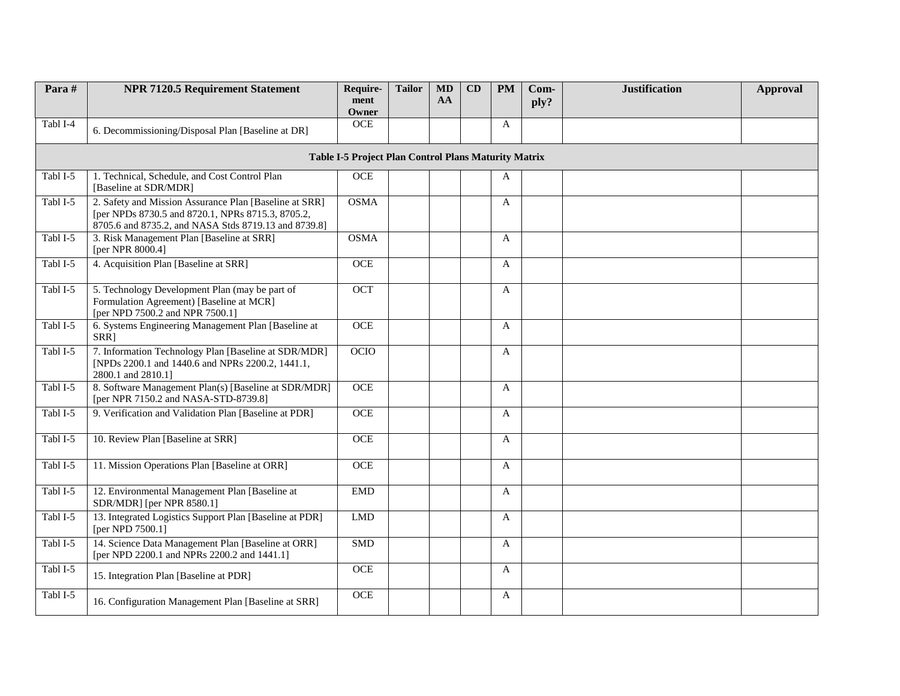| Para#    | <b>NPR 7120.5 Requirement Statement</b>                                                                                                                             | Require-                                             | <b>Tailor</b> | <b>MD</b> | CD | <b>PM</b>    | Com- | <b>Justification</b> | <b>Approval</b> |
|----------|---------------------------------------------------------------------------------------------------------------------------------------------------------------------|------------------------------------------------------|---------------|-----------|----|--------------|------|----------------------|-----------------|
|          |                                                                                                                                                                     | ment<br>Owner                                        |               | AA        |    |              | ply? |                      |                 |
| Tabl I-4 | 6. Decommissioning/Disposal Plan [Baseline at DR]                                                                                                                   | <b>OCE</b>                                           |               |           |    | A            |      |                      |                 |
|          |                                                                                                                                                                     | Table I-5 Project Plan Control Plans Maturity Matrix |               |           |    |              |      |                      |                 |
| Tabl I-5 | 1. Technical, Schedule, and Cost Control Plan<br>[Baseline at SDR/MDR]                                                                                              | <b>OCE</b>                                           |               |           |    | A            |      |                      |                 |
| Tabl I-5 | 2. Safety and Mission Assurance Plan [Baseline at SRR]<br>[per NPDs 8730.5 and 8720.1, NPRs 8715.3, 8705.2,<br>8705.6 and 8735.2, and NASA Stds 8719.13 and 8739.8] | <b>OSMA</b>                                          |               |           |    | $\mathbf{A}$ |      |                      |                 |
| Tabl I-5 | 3. Risk Management Plan [Baseline at SRR]<br>[per NPR 8000.4]                                                                                                       | <b>OSMA</b>                                          |               |           |    | A            |      |                      |                 |
| Tabl I-5 | 4. Acquisition Plan [Baseline at SRR]                                                                                                                               | <b>OCE</b>                                           |               |           |    | A            |      |                      |                 |
| Tabl I-5 | 5. Technology Development Plan (may be part of<br>Formulation Agreement) [Baseline at MCR]<br>[per NPD 7500.2 and NPR 7500.1]                                       | <b>OCT</b>                                           |               |           |    | A            |      |                      |                 |
| Tabl I-5 | 6. Systems Engineering Management Plan [Baseline at<br>SRR]                                                                                                         | <b>OCE</b>                                           |               |           |    | A            |      |                      |                 |
| Tabl I-5 | 7. Information Technology Plan [Baseline at SDR/MDR]<br>[NPDs 2200.1 and 1440.6 and NPRs 2200.2, 1441.1,<br>2800.1 and 2810.1]                                      | <b>OCIO</b>                                          |               |           |    | A            |      |                      |                 |
| Tabl I-5 | 8. Software Management Plan(s) [Baseline at SDR/MDR]<br>[per NPR 7150.2 and NASA-STD-8739.8]                                                                        | <b>OCE</b>                                           |               |           |    | A            |      |                      |                 |
| Tabl I-5 | 9. Verification and Validation Plan [Baseline at PDR]                                                                                                               | <b>OCE</b>                                           |               |           |    | A            |      |                      |                 |
| Tabl I-5 | 10. Review Plan [Baseline at SRR]                                                                                                                                   | <b>OCE</b>                                           |               |           |    | A            |      |                      |                 |
| Tabl I-5 | 11. Mission Operations Plan [Baseline at ORR]                                                                                                                       | $OCE$                                                |               |           |    | A            |      |                      |                 |
| Tabl I-5 | 12. Environmental Management Plan [Baseline at<br>SDR/MDR] [per NPR 8580.1]                                                                                         | <b>EMD</b>                                           |               |           |    | A            |      |                      |                 |
| Tabl I-5 | 13. Integrated Logistics Support Plan [Baseline at PDR]<br>[per NPD $7500.1$ ]                                                                                      | <b>LMD</b>                                           |               |           |    | A            |      |                      |                 |
| Tabl I-5 | 14. Science Data Management Plan [Baseline at ORR]<br>[per NPD 2200.1 and NPRs 2200.2 and 1441.1]                                                                   | <b>SMD</b>                                           |               |           |    | A            |      |                      |                 |
| Tabl I-5 | 15. Integration Plan [Baseline at PDR]                                                                                                                              | <b>OCE</b>                                           |               |           |    | A            |      |                      |                 |
| Tabl I-5 | 16. Configuration Management Plan [Baseline at SRR]                                                                                                                 | OCE                                                  |               |           |    | A            |      |                      |                 |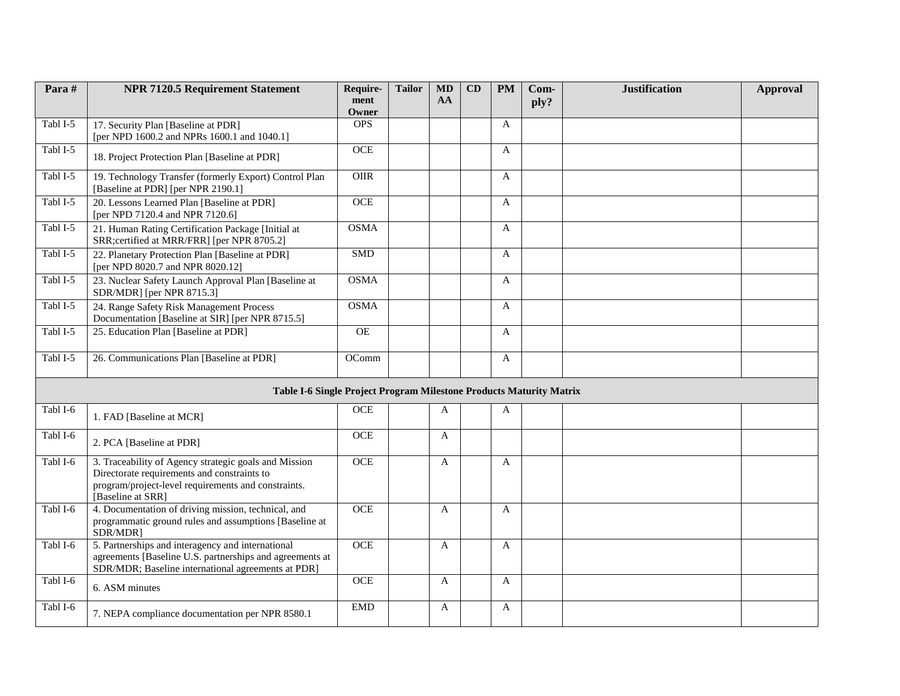| Para#    | <b>NPR 7120.5 Requirement Statement</b>                                                                                                                                          | Require-      | <b>Tailor</b> | <b>MD</b>    | CD | <b>PM</b> | Com- | <b>Justification</b> | <b>Approval</b> |
|----------|----------------------------------------------------------------------------------------------------------------------------------------------------------------------------------|---------------|---------------|--------------|----|-----------|------|----------------------|-----------------|
|          |                                                                                                                                                                                  | ment<br>Owner |               | AA           |    |           | ply? |                      |                 |
| Tabl I-5 | 17. Security Plan [Baseline at PDR]<br>[per NPD 1600.2 and NPRs 1600.1 and 1040.1]                                                                                               | <b>OPS</b>    |               |              |    | A         |      |                      |                 |
| Tabl I-5 | 18. Project Protection Plan [Baseline at PDR]                                                                                                                                    | <b>OCE</b>    |               |              |    | A         |      |                      |                 |
| Tabl I-5 | 19. Technology Transfer (formerly Export) Control Plan<br>[Baseline at PDR] [per NPR 2190.1]                                                                                     | OIIR          |               |              |    | A         |      |                      |                 |
| Tabl I-5 | 20. Lessons Learned Plan [Baseline at PDR]<br>[per NPD 7120.4 and NPR 7120.6]                                                                                                    | <b>OCE</b>    |               |              |    | A         |      |                      |                 |
| Tabl I-5 | 21. Human Rating Certification Package [Initial at<br>SRR; certified at MRR/FRR] [per NPR 8705.2]                                                                                | <b>OSMA</b>   |               |              |    | A         |      |                      |                 |
| Tabl I-5 | 22. Planetary Protection Plan [Baseline at PDR]<br>[per NPD 8020.7 and NPR 8020.12]                                                                                              | <b>SMD</b>    |               |              |    | A         |      |                      |                 |
| Tabl I-5 | 23. Nuclear Safety Launch Approval Plan [Baseline at<br>SDR/MDR] [per NPR 8715.3]                                                                                                | <b>OSMA</b>   |               |              |    | A         |      |                      |                 |
| Tabl I-5 | 24. Range Safety Risk Management Process<br>Documentation [Baseline at SIR] [per NPR 8715.5]                                                                                     | <b>OSMA</b>   |               |              |    | A         |      |                      |                 |
| Tabl I-5 | 25. Education Plan [Baseline at PDR]                                                                                                                                             | <b>OE</b>     |               |              |    | A         |      |                      |                 |
| Tabl I-5 | 26. Communications Plan [Baseline at PDR]                                                                                                                                        | OComm         |               |              |    | A         |      |                      |                 |
|          | Table I-6 Single Project Program Milestone Products Maturity Matrix                                                                                                              |               |               |              |    |           |      |                      |                 |
| Tabl I-6 | 1. FAD [Baseline at MCR]                                                                                                                                                         | <b>OCE</b>    |               | A            |    | A         |      |                      |                 |
| Tabl I-6 | 2. PCA [Baseline at PDR]                                                                                                                                                         | <b>OCE</b>    |               | $\mathbf{A}$ |    |           |      |                      |                 |
| Tabl I-6 | 3. Traceability of Agency strategic goals and Mission<br>Directorate requirements and constraints to<br>program/project-level requirements and constraints.<br>[Baseline at SRR] | OCE           |               | A            |    | A         |      |                      |                 |
| Tabl I-6 | 4. Documentation of driving mission, technical, and<br>programmatic ground rules and assumptions [Baseline at<br>SDR/MDR]                                                        | <b>OCE</b>    |               | A            |    | A         |      |                      |                 |
| Tabl I-6 | 5. Partnerships and interagency and international<br>agreements [Baseline U.S. partnerships and agreements at<br>SDR/MDR; Baseline international agreements at PDR]              | <b>OCE</b>    |               | A            |    | A         |      |                      |                 |
| Tabl I-6 | 6. ASM minutes                                                                                                                                                                   | <b>OCE</b>    |               | $\mathbf{A}$ |    | A         |      |                      |                 |
| Tabl I-6 | 7. NEPA compliance documentation per NPR 8580.1                                                                                                                                  | <b>EMD</b>    |               | A            |    | A         |      |                      |                 |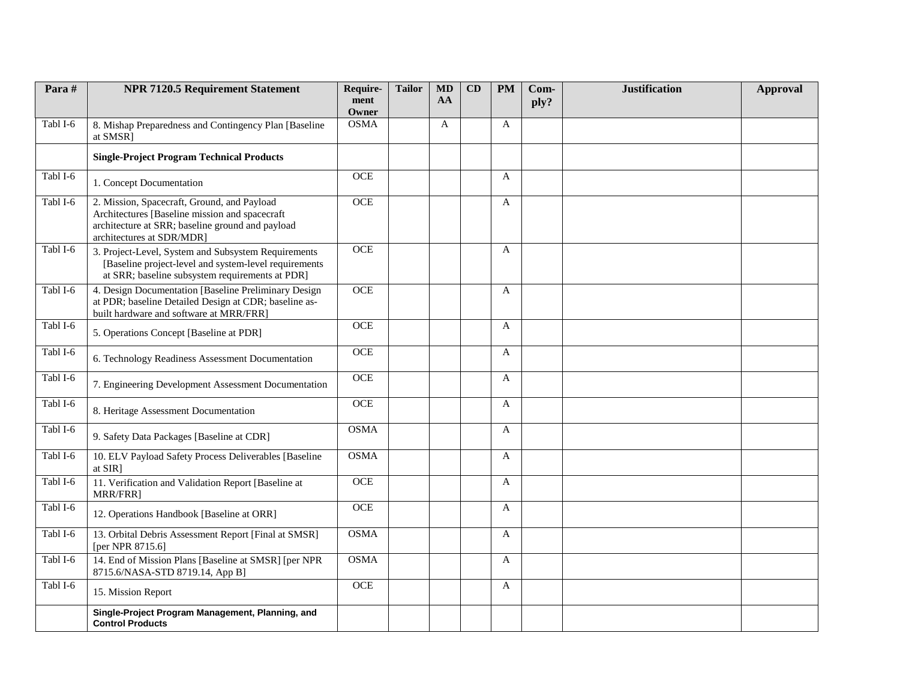| Para#    | <b>NPR 7120.5 Requirement Statement</b>                                                                                                                                        | Require-<br>ment<br>Owner | <b>Tailor</b> | <b>MD</b><br>AA | CD | <b>PM</b>    | Com-<br>ply? | <b>Justification</b> | <b>Approval</b> |
|----------|--------------------------------------------------------------------------------------------------------------------------------------------------------------------------------|---------------------------|---------------|-----------------|----|--------------|--------------|----------------------|-----------------|
| Tabl I-6 | 8. Mishap Preparedness and Contingency Plan [Baseline<br>at SMSR1                                                                                                              | <b>OSMA</b>               |               | A               |    | A            |              |                      |                 |
|          | <b>Single-Project Program Technical Products</b>                                                                                                                               |                           |               |                 |    |              |              |                      |                 |
| Tabl I-6 | 1. Concept Documentation                                                                                                                                                       | <b>OCE</b>                |               |                 |    | A            |              |                      |                 |
| Tabl I-6 | 2. Mission, Spacecraft, Ground, and Payload<br>Architectures [Baseline mission and spacecraft<br>architecture at SRR; baseline ground and payload<br>architectures at SDR/MDR] | OCE                       |               |                 |    | A            |              |                      |                 |
| Tabl I-6 | 3. Project-Level, System and Subsystem Requirements<br>[Baseline project-level and system-level requirements]<br>at SRR; baseline subsystem requirements at PDR]               | <b>OCE</b>                |               |                 |    | A            |              |                      |                 |
| Tabl I-6 | 4. Design Documentation [Baseline Preliminary Design<br>at PDR; baseline Detailed Design at CDR; baseline as-<br>built hardware and software at MRR/FRR]                       | <b>OCE</b>                |               |                 |    | A            |              |                      |                 |
| Tabl I-6 | 5. Operations Concept [Baseline at PDR]                                                                                                                                        | $OCE$                     |               |                 |    | A            |              |                      |                 |
| Tabl I-6 | 6. Technology Readiness Assessment Documentation                                                                                                                               | <b>OCE</b>                |               |                 |    | A            |              |                      |                 |
| Tabl I-6 | 7. Engineering Development Assessment Documentation                                                                                                                            | <b>OCE</b>                |               |                 |    | A            |              |                      |                 |
| Tabl I-6 | 8. Heritage Assessment Documentation                                                                                                                                           | <b>OCE</b>                |               |                 |    | A            |              |                      |                 |
| Tabl I-6 | 9. Safety Data Packages [Baseline at CDR]                                                                                                                                      | <b>OSMA</b>               |               |                 |    | A            |              |                      |                 |
| Tabl I-6 | 10. ELV Payload Safety Process Deliverables [Baseline<br>at SIR]                                                                                                               | <b>OSMA</b>               |               |                 |    | A            |              |                      |                 |
| Tabl I-6 | 11. Verification and Validation Report [Baseline at<br>MRR/FRR]                                                                                                                | <b>OCE</b>                |               |                 |    | A            |              |                      |                 |
| Tabl I-6 | 12. Operations Handbook [Baseline at ORR]                                                                                                                                      | <b>OCE</b>                |               |                 |    | A            |              |                      |                 |
| Tabl I-6 | 13. Orbital Debris Assessment Report [Final at SMSR]<br>[per NPR 8715.6]                                                                                                       | <b>OSMA</b>               |               |                 |    | A            |              |                      |                 |
| Tabl I-6 | 14. End of Mission Plans [Baseline at SMSR] [per NPR<br>8715.6/NASA-STD 8719.14, App B]                                                                                        | <b>OSMA</b>               |               |                 |    | A            |              |                      |                 |
| Tabl I-6 | 15. Mission Report                                                                                                                                                             | $OCE$                     |               |                 |    | $\mathsf{A}$ |              |                      |                 |
|          | Single-Project Program Management, Planning, and<br><b>Control Products</b>                                                                                                    |                           |               |                 |    |              |              |                      |                 |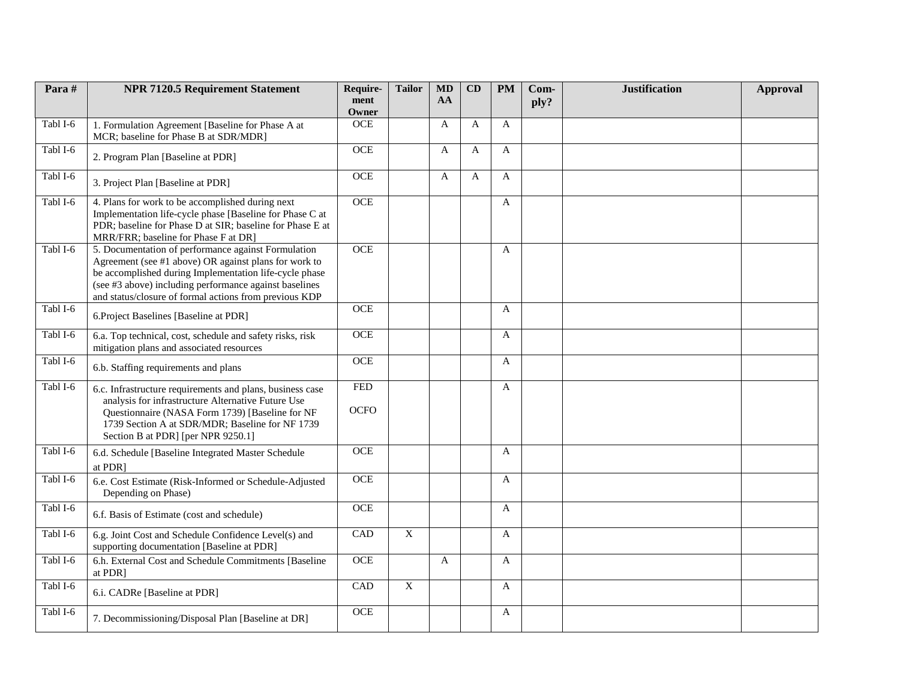| Para#    | <b>NPR 7120.5 Requirement Statement</b>                                                                                                                                                                                                                                                    | Require-                  | <b>Tailor</b> | <b>MD</b>    | CD | <b>PM</b>    | Com- | <b>Justification</b> | <b>Approval</b> |
|----------|--------------------------------------------------------------------------------------------------------------------------------------------------------------------------------------------------------------------------------------------------------------------------------------------|---------------------------|---------------|--------------|----|--------------|------|----------------------|-----------------|
|          |                                                                                                                                                                                                                                                                                            | ment<br>Owner             |               | AA           |    |              | ply? |                      |                 |
| Tabl I-6 | 1. Formulation Agreement [Baseline for Phase A at                                                                                                                                                                                                                                          | <b>OCE</b>                |               | A            | A  | A            |      |                      |                 |
|          | MCR; baseline for Phase B at SDR/MDR]                                                                                                                                                                                                                                                      |                           |               |              |    |              |      |                      |                 |
| Tabl I-6 | 2. Program Plan [Baseline at PDR]                                                                                                                                                                                                                                                          | <b>OCE</b>                |               | A            | A  | A            |      |                      |                 |
| Tabl I-6 | 3. Project Plan [Baseline at PDR]                                                                                                                                                                                                                                                          | <b>OCE</b>                |               | A            | A  | A            |      |                      |                 |
| Tabl I-6 | 4. Plans for work to be accomplished during next<br>Implementation life-cycle phase [Baseline for Phase C at<br>PDR; baseline for Phase D at SIR; baseline for Phase E at<br>MRR/FRR; baseline for Phase F at DR]                                                                          | <b>OCE</b>                |               |              |    | A            |      |                      |                 |
| Tabl I-6 | 5. Documentation of performance against Formulation<br>Agreement (see #1 above) OR against plans for work to<br>be accomplished during Implementation life-cycle phase<br>(see #3 above) including performance against baselines<br>and status/closure of formal actions from previous KDP | <b>OCE</b>                |               |              |    | A            |      |                      |                 |
| Tabl I-6 | 6. Project Baselines [Baseline at PDR]                                                                                                                                                                                                                                                     | <b>OCE</b>                |               |              |    | A            |      |                      |                 |
| Tabl I-6 | 6.a. Top technical, cost, schedule and safety risks, risk<br>mitigation plans and associated resources                                                                                                                                                                                     | <b>OCE</b>                |               |              |    | A            |      |                      |                 |
| Tabl I-6 | 6.b. Staffing requirements and plans                                                                                                                                                                                                                                                       | <b>OCE</b>                |               |              |    | A            |      |                      |                 |
| Tabl I-6 | 6.c. Infrastructure requirements and plans, business case<br>analysis for infrastructure Alternative Future Use<br>Questionnaire (NASA Form 1739) [Baseline for NF<br>1739 Section A at SDR/MDR; Baseline for NF 1739<br>Section B at PDR] [per NPR 9250.1]                                | <b>FED</b><br><b>OCFO</b> |               |              |    | $\mathbf{A}$ |      |                      |                 |
| Tabl I-6 | 6.d. Schedule [Baseline Integrated Master Schedule<br>at PDR]                                                                                                                                                                                                                              | <b>OCE</b>                |               |              |    | A            |      |                      |                 |
| Tabl I-6 | 6.e. Cost Estimate (Risk-Informed or Schedule-Adjusted<br>Depending on Phase)                                                                                                                                                                                                              | OCE                       |               |              |    | A            |      |                      |                 |
| Tabl I-6 | 6.f. Basis of Estimate (cost and schedule)                                                                                                                                                                                                                                                 | <b>OCE</b>                |               |              |    | $\mathbf{A}$ |      |                      |                 |
| Tabl I-6 | 6.g. Joint Cost and Schedule Confidence Level(s) and<br>supporting documentation [Baseline at PDR]                                                                                                                                                                                         | CAD                       | $\mathbf X$   |              |    | A            |      |                      |                 |
| Tabl I-6 | 6.h. External Cost and Schedule Commitments [Baseline<br>at PDR]                                                                                                                                                                                                                           | <b>OCE</b>                |               | $\mathbf{A}$ |    | A            |      |                      |                 |
| Tabl I-6 | 6.i. CADRe [Baseline at PDR]                                                                                                                                                                                                                                                               | CAD                       | X             |              |    | A            |      |                      |                 |
| Tabl I-6 | 7. Decommissioning/Disposal Plan [Baseline at DR]                                                                                                                                                                                                                                          | OCE                       |               |              |    | A            |      |                      |                 |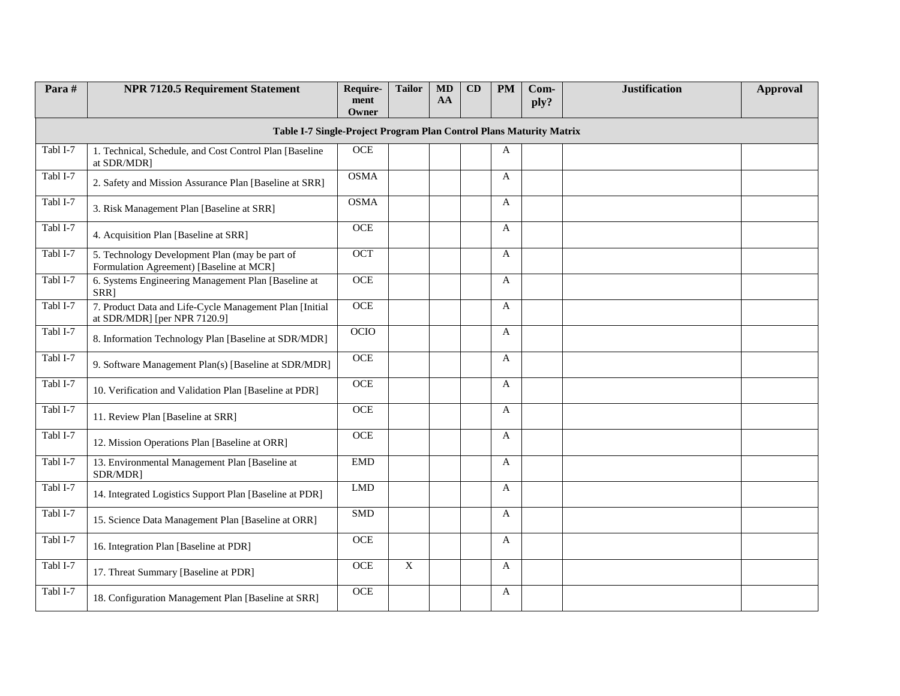| Para#                                                               | <b>NPR 7120.5 Requirement Statement</b>                                                    | Require-<br>ment<br>Owner | <b>Tailor</b> | <b>MD</b><br>AA | CD | <b>PM</b>    | Com-<br>ply? | <b>Justification</b> | <b>Approval</b> |  |  |
|---------------------------------------------------------------------|--------------------------------------------------------------------------------------------|---------------------------|---------------|-----------------|----|--------------|--------------|----------------------|-----------------|--|--|
| Table I-7 Single-Project Program Plan Control Plans Maturity Matrix |                                                                                            |                           |               |                 |    |              |              |                      |                 |  |  |
| Tabl I-7                                                            | 1. Technical, Schedule, and Cost Control Plan [Baseline<br>at SDR/MDR]                     | <b>OCE</b>                |               |                 |    | A            |              |                      |                 |  |  |
| Tabl I-7                                                            | 2. Safety and Mission Assurance Plan [Baseline at SRR]                                     | <b>OSMA</b>               |               |                 |    | A            |              |                      |                 |  |  |
| Tabl I-7                                                            | 3. Risk Management Plan [Baseline at SRR]                                                  | <b>OSMA</b>               |               |                 |    | A            |              |                      |                 |  |  |
| Tabl I-7                                                            | 4. Acquisition Plan [Baseline at SRR]                                                      | <b>OCE</b>                |               |                 |    | A            |              |                      |                 |  |  |
| Tabl I-7                                                            | 5. Technology Development Plan (may be part of<br>Formulation Agreement) [Baseline at MCR] | OCT                       |               |                 |    | A            |              |                      |                 |  |  |
| Tabl I-7                                                            | 6. Systems Engineering Management Plan [Baseline at<br>SRR]                                | <b>OCE</b>                |               |                 |    | A            |              |                      |                 |  |  |
| Tabl I-7                                                            | 7. Product Data and Life-Cycle Management Plan [Initial<br>at SDR/MDR] [per NPR 7120.9]    | <b>OCE</b>                |               |                 |    | A            |              |                      |                 |  |  |
| Tabl I-7                                                            | 8. Information Technology Plan [Baseline at SDR/MDR]                                       | <b>OCIO</b>               |               |                 |    | A            |              |                      |                 |  |  |
| Tabl I-7                                                            | 9. Software Management Plan(s) [Baseline at SDR/MDR]                                       | <b>OCE</b>                |               |                 |    | A            |              |                      |                 |  |  |
| Tabl I-7                                                            | 10. Verification and Validation Plan [Baseline at PDR]                                     | <b>OCE</b>                |               |                 |    | A            |              |                      |                 |  |  |
| Tabl I-7                                                            | 11. Review Plan [Baseline at SRR]                                                          | OCE                       |               |                 |    | A            |              |                      |                 |  |  |
| Tabl I-7                                                            | 12. Mission Operations Plan [Baseline at ORR]                                              | <b>OCE</b>                |               |                 |    | A            |              |                      |                 |  |  |
| Tabl I-7                                                            | 13. Environmental Management Plan [Baseline at<br>SDR/MDR]                                 | <b>EMD</b>                |               |                 |    | A            |              |                      |                 |  |  |
| Tabl I-7                                                            | 14. Integrated Logistics Support Plan [Baseline at PDR]                                    | <b>LMD</b>                |               |                 |    | A            |              |                      |                 |  |  |
| Tabl I-7                                                            | 15. Science Data Management Plan [Baseline at ORR]                                         | <b>SMD</b>                |               |                 |    | $\mathbf{A}$ |              |                      |                 |  |  |
| Tabl I-7                                                            | 16. Integration Plan [Baseline at PDR]                                                     | <b>OCE</b>                |               |                 |    | A            |              |                      |                 |  |  |
| Tabl I-7                                                            | 17. Threat Summary [Baseline at PDR]                                                       | OCE                       | $\mathbf X$   |                 |    | A            |              |                      |                 |  |  |
| Tabl I-7                                                            | 18. Configuration Management Plan [Baseline at SRR]                                        | <b>OCE</b>                |               |                 |    | $\mathbf{A}$ |              |                      |                 |  |  |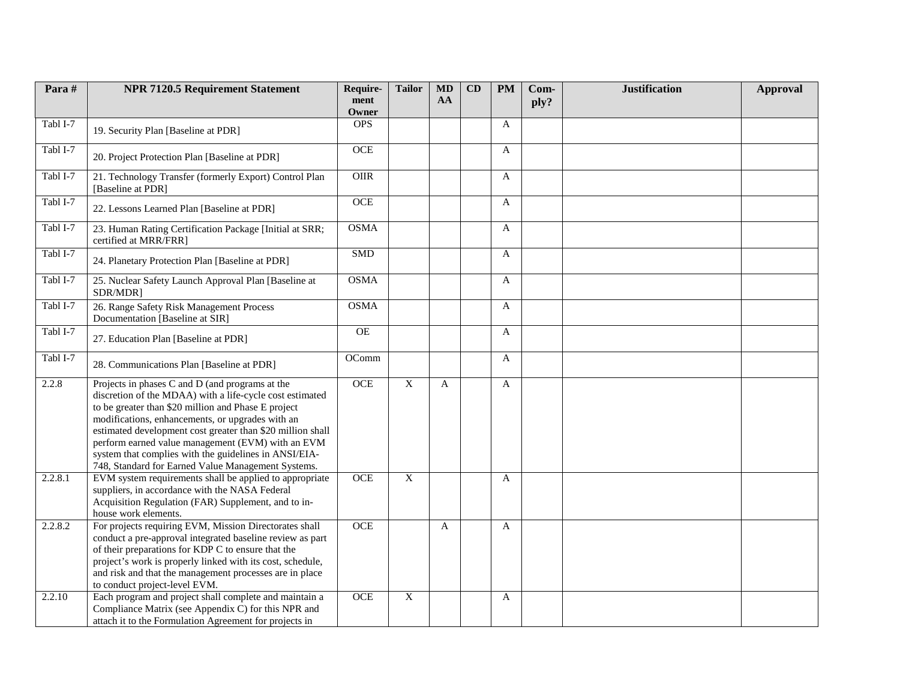| Para#    | <b>NPR 7120.5 Requirement Statement</b>                                                                                                                                                                                                                                                                                                                                                                                                                  | Require-<br>ment | <b>Tailor</b>  | <b>MD</b><br>AA | CD | <b>PM</b>    | Com-<br>ply? | <b>Justification</b> | <b>Approval</b> |
|----------|----------------------------------------------------------------------------------------------------------------------------------------------------------------------------------------------------------------------------------------------------------------------------------------------------------------------------------------------------------------------------------------------------------------------------------------------------------|------------------|----------------|-----------------|----|--------------|--------------|----------------------|-----------------|
|          |                                                                                                                                                                                                                                                                                                                                                                                                                                                          | Owner            |                |                 |    |              |              |                      |                 |
| Tabl I-7 | 19. Security Plan [Baseline at PDR]                                                                                                                                                                                                                                                                                                                                                                                                                      | <b>OPS</b>       |                |                 |    | A            |              |                      |                 |
| Tabl I-7 | 20. Project Protection Plan [Baseline at PDR]                                                                                                                                                                                                                                                                                                                                                                                                            | OCE              |                |                 |    | A            |              |                      |                 |
| Tabl I-7 | 21. Technology Transfer (formerly Export) Control Plan<br>[Baseline at PDR]                                                                                                                                                                                                                                                                                                                                                                              | <b>OIIR</b>      |                |                 |    | A            |              |                      |                 |
| Tabl I-7 | 22. Lessons Learned Plan [Baseline at PDR]                                                                                                                                                                                                                                                                                                                                                                                                               | <b>OCE</b>       |                |                 |    | A            |              |                      |                 |
| Tabl I-7 | 23. Human Rating Certification Package [Initial at SRR;<br>certified at MRR/FRR]                                                                                                                                                                                                                                                                                                                                                                         | <b>OSMA</b>      |                |                 |    | A            |              |                      |                 |
| Tabl I-7 | 24. Planetary Protection Plan [Baseline at PDR]                                                                                                                                                                                                                                                                                                                                                                                                          | <b>SMD</b>       |                |                 |    | $\mathbf{A}$ |              |                      |                 |
| Tabl I-7 | 25. Nuclear Safety Launch Approval Plan [Baseline at<br>SDR/MDR]                                                                                                                                                                                                                                                                                                                                                                                         | <b>OSMA</b>      |                |                 |    | A            |              |                      |                 |
| Tabl I-7 | 26. Range Safety Risk Management Process<br>Documentation [Baseline at SIR]                                                                                                                                                                                                                                                                                                                                                                              | <b>OSMA</b>      |                |                 |    | A            |              |                      |                 |
| Tabl I-7 | 27. Education Plan [Baseline at PDR]                                                                                                                                                                                                                                                                                                                                                                                                                     | OE               |                |                 |    | A            |              |                      |                 |
| Tabl I-7 | 28. Communications Plan [Baseline at PDR]                                                                                                                                                                                                                                                                                                                                                                                                                | OComm            |                |                 |    | A            |              |                      |                 |
| 2.2.8    | Projects in phases C and D (and programs at the<br>discretion of the MDAA) with a life-cycle cost estimated<br>to be greater than \$20 million and Phase E project<br>modifications, enhancements, or upgrades with an<br>estimated development cost greater than \$20 million shall<br>perform earned value management (EVM) with an EVM<br>system that complies with the guidelines in ANSI/EIA-<br>748, Standard for Earned Value Management Systems. | <b>OCE</b>       | $\overline{X}$ | $\mathbf{A}$    |    | A            |              |                      |                 |
| 2.2.8.1  | EVM system requirements shall be applied to appropriate<br>suppliers, in accordance with the NASA Federal<br>Acquisition Regulation (FAR) Supplement, and to in-<br>house work elements.                                                                                                                                                                                                                                                                 | $OCE$            | $\overline{X}$ |                 |    | $\mathbf{A}$ |              |                      |                 |
| 2.2.8.2  | For projects requiring EVM, Mission Directorates shall<br>conduct a pre-approval integrated baseline review as part<br>of their preparations for KDP C to ensure that the<br>project's work is properly linked with its cost, schedule,<br>and risk and that the management processes are in place<br>to conduct project-level EVM.                                                                                                                      | <b>OCE</b>       |                | $\mathbf{A}$    |    | $\mathbf{A}$ |              |                      |                 |
| 2.2.10   | Each program and project shall complete and maintain a<br>Compliance Matrix (see Appendix C) for this NPR and<br>attach it to the Formulation Agreement for projects in                                                                                                                                                                                                                                                                                  | <b>OCE</b>       | $\overline{X}$ |                 |    | A            |              |                      |                 |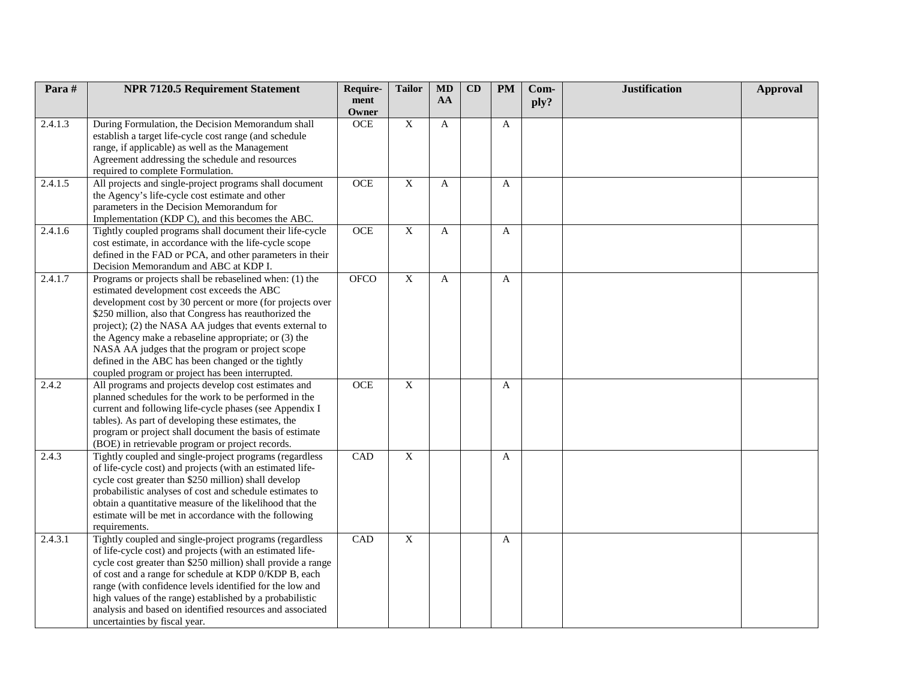| Para#   | <b>NPR 7120.5 Requirement Statement</b>                                                                           | Require-    | <b>Tailor</b>    | MD           | $\overline{\mathbf{CD}}$ | PM           | Com- | <b>Justification</b> | <b>Approval</b> |
|---------|-------------------------------------------------------------------------------------------------------------------|-------------|------------------|--------------|--------------------------|--------------|------|----------------------|-----------------|
|         |                                                                                                                   | ment        |                  | AA           |                          |              | ply? |                      |                 |
|         |                                                                                                                   | Owner       |                  |              |                          |              |      |                      |                 |
| 2.4.1.3 | During Formulation, the Decision Memorandum shall                                                                 | <b>OCE</b>  | X                | A            |                          | A            |      |                      |                 |
|         | establish a target life-cycle cost range (and schedule                                                            |             |                  |              |                          |              |      |                      |                 |
|         | range, if applicable) as well as the Management                                                                   |             |                  |              |                          |              |      |                      |                 |
|         | Agreement addressing the schedule and resources                                                                   |             |                  |              |                          |              |      |                      |                 |
|         | required to complete Formulation.                                                                                 |             |                  |              |                          |              |      |                      |                 |
| 2.4.1.5 | All projects and single-project programs shall document                                                           | OCE         | $\mathbf X$      | A            |                          | $\mathbf{A}$ |      |                      |                 |
|         | the Agency's life-cycle cost estimate and other<br>parameters in the Decision Memorandum for                      |             |                  |              |                          |              |      |                      |                 |
|         | Implementation (KDP C), and this becomes the ABC.                                                                 |             |                  |              |                          |              |      |                      |                 |
| 2.4.1.6 | Tightly coupled programs shall document their life-cycle                                                          | <b>OCE</b>  | $\overline{X}$   | $\mathbf{A}$ |                          | $\mathbf{A}$ |      |                      |                 |
|         | cost estimate, in accordance with the life-cycle scope                                                            |             |                  |              |                          |              |      |                      |                 |
|         | defined in the FAD or PCA, and other parameters in their                                                          |             |                  |              |                          |              |      |                      |                 |
|         | Decision Memorandum and ABC at KDP I.                                                                             |             |                  |              |                          |              |      |                      |                 |
| 2.4.1.7 | Programs or projects shall be rebaselined when: (1) the                                                           | <b>OFCO</b> | $\overline{X}$   | $\mathbf{A}$ |                          | $\mathbf{A}$ |      |                      |                 |
|         | estimated development cost exceeds the ABC                                                                        |             |                  |              |                          |              |      |                      |                 |
|         | development cost by 30 percent or more (for projects over                                                         |             |                  |              |                          |              |      |                      |                 |
|         | \$250 million, also that Congress has reauthorized the                                                            |             |                  |              |                          |              |      |                      |                 |
|         | project); (2) the NASA AA judges that events external to                                                          |             |                  |              |                          |              |      |                      |                 |
|         | the Agency make a rebaseline appropriate; or (3) the                                                              |             |                  |              |                          |              |      |                      |                 |
|         | NASA AA judges that the program or project scope                                                                  |             |                  |              |                          |              |      |                      |                 |
|         | defined in the ABC has been changed or the tightly                                                                |             |                  |              |                          |              |      |                      |                 |
|         | coupled program or project has been interrupted.                                                                  |             |                  |              |                          |              |      |                      |                 |
| 2.4.2   | All programs and projects develop cost estimates and                                                              | $OCE$       | $\boldsymbol{X}$ |              |                          | A            |      |                      |                 |
|         | planned schedules for the work to be performed in the                                                             |             |                  |              |                          |              |      |                      |                 |
|         | current and following life-cycle phases (see Appendix I                                                           |             |                  |              |                          |              |      |                      |                 |
|         | tables). As part of developing these estimates, the                                                               |             |                  |              |                          |              |      |                      |                 |
|         | program or project shall document the basis of estimate                                                           |             |                  |              |                          |              |      |                      |                 |
|         | (BOE) in retrievable program or project records.                                                                  |             |                  |              |                          |              |      |                      |                 |
| 2.4.3   | Tightly coupled and single-project programs (regardless                                                           | <b>CAD</b>  | $\overline{X}$   |              |                          | A            |      |                      |                 |
|         | of life-cycle cost) and projects (with an estimated life-                                                         |             |                  |              |                          |              |      |                      |                 |
|         | cycle cost greater than \$250 million) shall develop                                                              |             |                  |              |                          |              |      |                      |                 |
|         | probabilistic analyses of cost and schedule estimates to                                                          |             |                  |              |                          |              |      |                      |                 |
|         | obtain a quantitative measure of the likelihood that the<br>estimate will be met in accordance with the following |             |                  |              |                          |              |      |                      |                 |
|         | requirements.                                                                                                     |             |                  |              |                          |              |      |                      |                 |
| 2.4.3.1 | Tightly coupled and single-project programs (regardless                                                           | CAD         | $\overline{X}$   |              |                          | A            |      |                      |                 |
|         | of life-cycle cost) and projects (with an estimated life-                                                         |             |                  |              |                          |              |      |                      |                 |
|         | cycle cost greater than \$250 million) shall provide a range                                                      |             |                  |              |                          |              |      |                      |                 |
|         | of cost and a range for schedule at KDP 0/KDP B, each                                                             |             |                  |              |                          |              |      |                      |                 |
|         | range (with confidence levels identified for the low and                                                          |             |                  |              |                          |              |      |                      |                 |
|         | high values of the range) established by a probabilistic                                                          |             |                  |              |                          |              |      |                      |                 |
|         | analysis and based on identified resources and associated                                                         |             |                  |              |                          |              |      |                      |                 |
|         | uncertainties by fiscal year.                                                                                     |             |                  |              |                          |              |      |                      |                 |